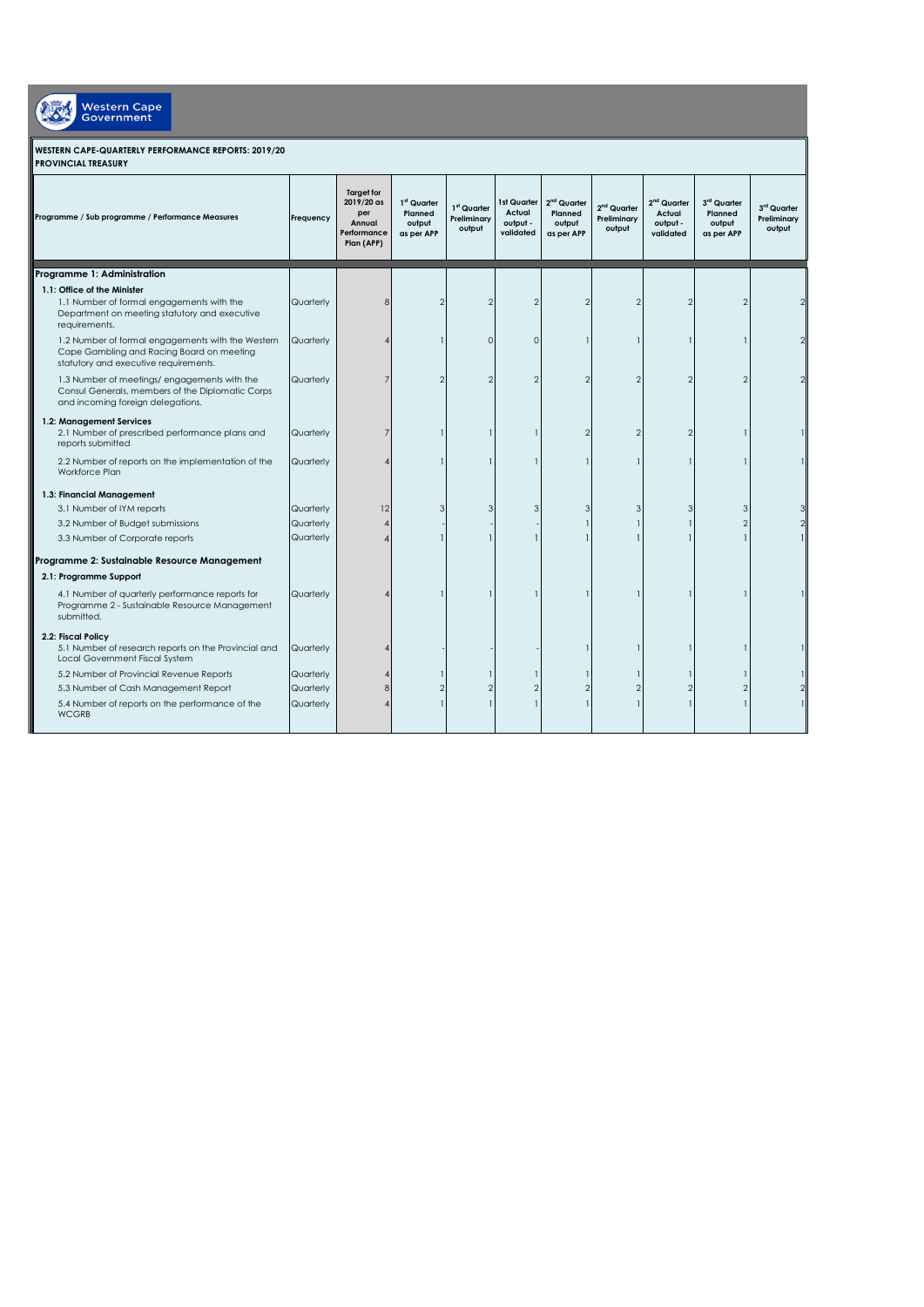| <b>WESTERN CAPE-QUARTERLY PERFORMANCE REPORTS: 2019/20</b> |  |
|------------------------------------------------------------|--|
|                                                            |  |

Western Cape

| Programme / Sub programme / Performance Measures                                                                                        | Frequency | <b>Target for</b><br>2019/20 as<br>per<br>Annual<br>Performance<br>Plan (APP) | 1 <sup>st</sup> Quarter<br>Planned<br>output<br>as per APP | 1st Quarter<br>Preliminary<br>output | 1st Quarter<br>Actual<br>output -<br>validated | 2 <sup>nd</sup> Quarter<br>Planned<br>output<br>as per APP | $2nd$ Quarter<br>Preliminary<br>output | 2 <sup>nd</sup> Quarter<br>Actual<br>output -<br>validated | 3rd Quarter<br>Planned<br>output<br>as per APP | 3 <sup>rd</sup> Quarter<br>Preliminary<br>output |
|-----------------------------------------------------------------------------------------------------------------------------------------|-----------|-------------------------------------------------------------------------------|------------------------------------------------------------|--------------------------------------|------------------------------------------------|------------------------------------------------------------|----------------------------------------|------------------------------------------------------------|------------------------------------------------|--------------------------------------------------|
| Programme 1: Administration                                                                                                             |           |                                                                               |                                                            |                                      |                                                |                                                            |                                        |                                                            |                                                |                                                  |
| 1.1: Office of the Minister                                                                                                             |           |                                                                               |                                                            |                                      |                                                |                                                            |                                        |                                                            |                                                |                                                  |
| 1.1 Number of formal engagements with the<br>Department on meeting statutory and executive<br>requirements.                             | Quarterly | ۶                                                                             | $\mathcal{P}$                                              | $\overline{2}$                       | $\overline{2}$                                 | $\mathfrak{D}$                                             | $\mathfrak{p}$                         | っ                                                          | $\mathcal{D}$                                  |                                                  |
| 1.2 Number of formal engagements with the Western<br>Cape Gambling and Racing Board on meeting<br>statutory and executive requirements. | Quarterly |                                                                               |                                                            | $\mathbf{0}$                         | $\mathbf{0}$                                   |                                                            |                                        |                                                            |                                                |                                                  |
| 1.3 Number of meetings/engagements with the<br>Consul Generals, members of the Diplomatic Corps<br>and incoming foreign delegations.    | Quarterly |                                                                               | $\mathcal{P}$                                              | 2                                    | $\mathfrak{D}$                                 |                                                            | $\mathfrak{p}$                         | $\mathfrak{D}$                                             |                                                |                                                  |
| 1.2: Management Services<br>2.1 Number of prescribed performance plans and<br>reports submitted                                         | Quarterly |                                                                               |                                                            |                                      |                                                | $\mathfrak{D}$                                             | $\overline{2}$                         | $\overline{2}$                                             |                                                |                                                  |
| 2.2 Number of reports on the implementation of the<br>Workforce Plan                                                                    | Quarterly |                                                                               |                                                            |                                      |                                                |                                                            |                                        |                                                            |                                                |                                                  |
| 1.3: Financial Management                                                                                                               |           |                                                                               |                                                            |                                      |                                                |                                                            |                                        |                                                            |                                                |                                                  |
| 3.1 Number of IYM reports                                                                                                               | Quarterly | 12                                                                            | 3                                                          | 3                                    | 3                                              | 3                                                          | 3                                      | 3                                                          | 3                                              |                                                  |
| 3.2 Number of Budget submissions                                                                                                        | Quarterly | $\boldsymbol{\Lambda}$                                                        |                                                            |                                      |                                                |                                                            |                                        |                                                            |                                                |                                                  |
| 3.3 Number of Corporate reports                                                                                                         | Quarterly | $\Delta$                                                                      |                                                            |                                      |                                                |                                                            |                                        |                                                            |                                                |                                                  |
| Programme 2: Sustainable Resource Management                                                                                            |           |                                                                               |                                                            |                                      |                                                |                                                            |                                        |                                                            |                                                |                                                  |
| 2.1: Programme Support                                                                                                                  |           |                                                                               |                                                            |                                      |                                                |                                                            |                                        |                                                            |                                                |                                                  |
| 4.1 Number of quarterly performance reports for<br>Programme 2 - Sustainable Resource Management<br>submitted.                          | Quarterly |                                                                               |                                                            |                                      |                                                |                                                            |                                        |                                                            |                                                |                                                  |
| 2.2: Fiscal Policy<br>5.1 Number of research reports on the Provincial and<br>Local Government Fiscal System                            | Quarterly |                                                                               |                                                            |                                      |                                                |                                                            |                                        |                                                            |                                                |                                                  |
| 5.2 Number of Provincial Revenue Reports                                                                                                | Quarterly |                                                                               |                                                            |                                      |                                                |                                                            |                                        |                                                            |                                                |                                                  |
| 5.3 Number of Cash Management Report                                                                                                    | Quarterly | 8                                                                             |                                                            | $\overline{2}$                       | $\overline{2}$                                 |                                                            | 2                                      |                                                            |                                                |                                                  |
| 5.4 Number of reports on the performance of the<br><b>WCGRB</b>                                                                         | Quarterly |                                                                               |                                                            |                                      |                                                |                                                            |                                        |                                                            |                                                |                                                  |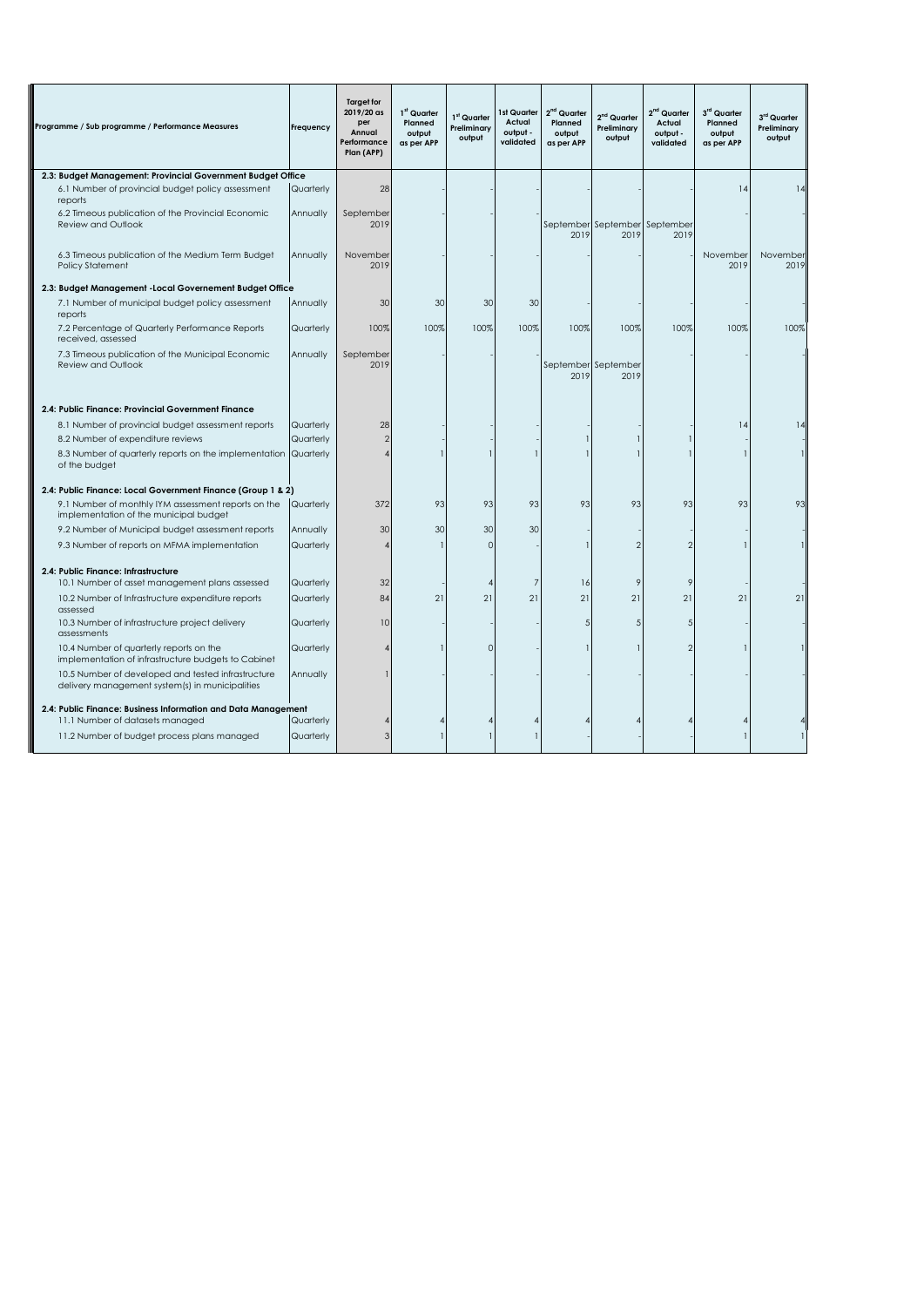| Programme / Sub programme / Performance Measures                                                      | Frequency | <b>Target for</b><br>2019/20 as<br>per<br>Annual<br>Performance<br>Plan (APP) | 1st Quarter<br>Planned<br>output<br>as per APP | 1 <sup>st</sup> Quarter<br>Preliminary<br>output | 1st Quarter<br>Actual<br>output -<br>validated | 2 <sup>nd</sup> Quarter<br>Planned<br>output<br>as per APP | $2nd$ Quarter<br>Preliminary<br>output | 2 <sup>nd</sup> Quarter<br>Actual<br>output -<br>validated | 3rd Quarter<br>Planned<br>output<br>as per APP | 3 <sup>rd</sup> Quarter<br>Preliminary<br>output |
|-------------------------------------------------------------------------------------------------------|-----------|-------------------------------------------------------------------------------|------------------------------------------------|--------------------------------------------------|------------------------------------------------|------------------------------------------------------------|----------------------------------------|------------------------------------------------------------|------------------------------------------------|--------------------------------------------------|
| 2.3: Budget Management: Provincial Government Budget Office                                           |           |                                                                               |                                                |                                                  |                                                |                                                            |                                        |                                                            |                                                |                                                  |
| 6.1 Number of provincial budget policy assessment<br>reports                                          | Quarterly | 28                                                                            |                                                |                                                  |                                                |                                                            |                                        |                                                            | 14                                             | 14                                               |
| 6.2 Timeous publication of the Provincial Economic<br>Review and Outlook                              | Annually  | September<br>2019                                                             |                                                |                                                  |                                                | 2019                                                       | September September September<br>2019  | 2019                                                       |                                                |                                                  |
| 6.3 Timeous publication of the Medium Term Budget<br><b>Policy Statement</b>                          | Annually  | November<br>2019                                                              |                                                |                                                  |                                                |                                                            |                                        |                                                            | November<br>2019                               | November<br>2019                                 |
| 2.3: Budget Management - Local Governement Budget Office                                              |           |                                                                               |                                                |                                                  |                                                |                                                            |                                        |                                                            |                                                |                                                  |
| 7.1 Number of municipal budget policy assessment<br>reports                                           | Annually  | 30                                                                            | 30                                             | 30                                               | 30                                             |                                                            |                                        |                                                            |                                                |                                                  |
| 7.2 Percentage of Quarterly Performance Reports<br>received, assessed                                 | Quarterly | 100%                                                                          | 100%                                           | 100%                                             | 100%                                           | 100%                                                       | 100%                                   | 100%                                                       | 100%                                           | 100%                                             |
| 7.3 Timeous publication of the Municipal Economic<br><b>Review and Outlook</b>                        | Annually  | September<br>2019                                                             |                                                |                                                  |                                                | September September<br>2019                                | 2019                                   |                                                            |                                                |                                                  |
| 2.4: Public Finance: Provincial Government Finance                                                    |           |                                                                               |                                                |                                                  |                                                |                                                            |                                        |                                                            |                                                |                                                  |
| 8.1 Number of provincial budget assessment reports                                                    | Quarterly | 28                                                                            |                                                |                                                  |                                                |                                                            |                                        |                                                            | 4                                              | 14                                               |
| 8.2 Number of expenditure reviews                                                                     | Quarterly | $\overline{2}$                                                                |                                                |                                                  |                                                |                                                            |                                        |                                                            |                                                |                                                  |
| 8.3 Number of quarterly reports on the implementation<br>of the budget                                | Quarterly |                                                                               |                                                |                                                  |                                                |                                                            |                                        |                                                            |                                                |                                                  |
| 2.4: Public Finance: Local Government Finance (Group 1 & 2)                                           |           |                                                                               |                                                |                                                  |                                                |                                                            |                                        |                                                            |                                                |                                                  |
| 9.1 Number of monthly IYM assessment reports on the<br>implementation of the municipal budget         | Quarterly | 372                                                                           | 93                                             | 93                                               | 93                                             | 93                                                         | 93                                     | 93                                                         | 93                                             | 93                                               |
| 9.2 Number of Municipal budget assessment reports                                                     | Annually  | 30                                                                            | 30                                             | 30                                               | 30                                             |                                                            |                                        |                                                            |                                                |                                                  |
| 9.3 Number of reports on MFMA implementation                                                          | Quarterly |                                                                               |                                                | $\Omega$                                         |                                                |                                                            | $\overline{2}$                         | $\mathfrak{D}$                                             |                                                |                                                  |
| 2.4: Public Finance: Infrastructure<br>10.1 Number of asset management plans assessed                 | Quarterly | 32                                                                            |                                                | $\overline{4}$                                   | $\overline{7}$                                 | 16                                                         | 9                                      | 9                                                          |                                                |                                                  |
| 10.2 Number of Infrastructure expenditure reports<br>assessed                                         | Quarterly | 84                                                                            | 21                                             | 21                                               | 21                                             | 21                                                         | 21                                     | 21                                                         | 21                                             | 21                                               |
| 10.3 Number of infrastructure project delivery<br>assessments                                         | Quarterly | 10                                                                            |                                                |                                                  |                                                | 5                                                          | 5                                      |                                                            |                                                |                                                  |
| 10.4 Number of quarterly reports on the<br>implementation of infrastructure budgets to Cabinet        | Quarterly |                                                                               |                                                | $\Omega$                                         |                                                |                                                            |                                        | 2                                                          |                                                |                                                  |
| 10.5 Number of developed and tested infrastructure<br>delivery management system(s) in municipalities | Annually  |                                                                               |                                                |                                                  |                                                |                                                            |                                        |                                                            |                                                |                                                  |
| 2.4: Public Finance: Business Information and Data Management                                         |           |                                                                               |                                                |                                                  |                                                |                                                            |                                        |                                                            |                                                |                                                  |
| 11.1 Number of datasets managed                                                                       | Quarterly |                                                                               |                                                |                                                  |                                                |                                                            |                                        |                                                            |                                                |                                                  |
| 11.2 Number of budget process plans managed                                                           | Quarterly | 3                                                                             |                                                |                                                  |                                                |                                                            |                                        |                                                            |                                                |                                                  |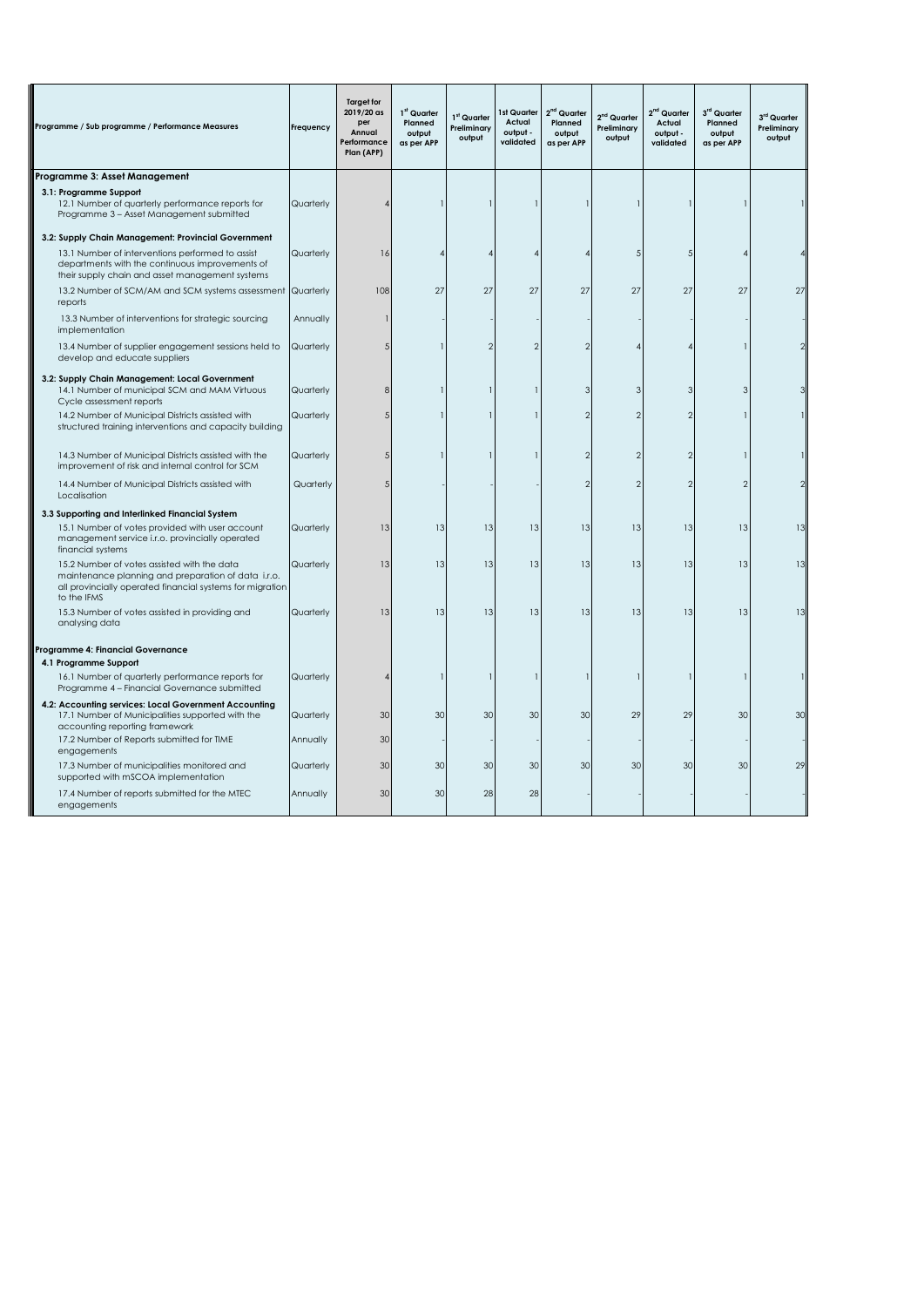| Programme / Sub programme / Performance Measures                                                                                                                               | Frequency | <b>Target for</b><br>2019/20 as<br>per<br>Annual<br>Performance<br>Plan (APP) | 1st Quarter<br>Planned<br>output<br>as per APP | 1st Quarter<br>Preliminary<br>output | 1st Quarter<br>Actual<br>output -<br>validated | $2nd$ Quarter<br>Planned<br>output<br>as per APP | 2 <sup>nd</sup> Quarter<br>Preliminary<br>output | 2 <sup>nd</sup> Quarter<br>Actual<br>output -<br>validated | 3rd Quarter<br>Planned<br>output<br>as per APP | 3 <sup>rd</sup> Quarter<br>Preliminary<br>output |
|--------------------------------------------------------------------------------------------------------------------------------------------------------------------------------|-----------|-------------------------------------------------------------------------------|------------------------------------------------|--------------------------------------|------------------------------------------------|--------------------------------------------------|--------------------------------------------------|------------------------------------------------------------|------------------------------------------------|--------------------------------------------------|
| Programme 3: Asset Management                                                                                                                                                  |           |                                                                               |                                                |                                      |                                                |                                                  |                                                  |                                                            |                                                |                                                  |
| 3.1: Programme Support<br>12.1 Number of quarterly performance reports for<br>Programme 3 - Asset Management submitted                                                         | Quarterly |                                                                               |                                                |                                      |                                                |                                                  |                                                  |                                                            |                                                |                                                  |
| 3.2: Supply Chain Management: Provincial Government                                                                                                                            |           |                                                                               |                                                |                                      |                                                |                                                  |                                                  |                                                            |                                                |                                                  |
| 13.1 Number of interventions performed to assist<br>departments with the continuous improvements of<br>their supply chain and asset management systems                         | Quarterly | 16                                                                            |                                                |                                      |                                                |                                                  | 5                                                | ŗ                                                          |                                                |                                                  |
| 13.2 Number of SCM/AM and SCM systems assessment<br>reports                                                                                                                    | Quarterly | 108                                                                           | 27                                             | 27                                   | 27                                             | 27                                               | 27                                               | 27                                                         | 27                                             | 27                                               |
| 13.3 Number of interventions for strategic sourcing<br>implementation                                                                                                          | Annually  |                                                                               |                                                |                                      |                                                |                                                  |                                                  |                                                            |                                                |                                                  |
| 13.4 Number of supplier engagement sessions held to<br>develop and educate suppliers                                                                                           | Quarterly |                                                                               |                                                | $\mathfrak{D}$                       | $\mathfrak{D}$                                 |                                                  |                                                  |                                                            |                                                |                                                  |
| 3.2: Supply Chain Management: Local Government<br>14.1 Number of municipal SCM and MAM Virtuous<br>Cycle assessment reports                                                    | Quarterly | 8                                                                             |                                                |                                      |                                                |                                                  | ₹                                                | ٩                                                          | 3                                              |                                                  |
| 14.2 Number of Municipal Districts assisted with<br>structured training interventions and capacity building                                                                    | Quarterly | 5                                                                             |                                                |                                      |                                                |                                                  |                                                  |                                                            |                                                |                                                  |
| 14.3 Number of Municipal Districts assisted with the<br>improvement of risk and internal control for SCM                                                                       | Quarterly | .5                                                                            |                                                |                                      |                                                |                                                  | 2                                                | 2                                                          |                                                |                                                  |
| 14.4 Number of Municipal Districts assisted with<br>Localisation                                                                                                               | Quarterly |                                                                               |                                                |                                      |                                                |                                                  | 0                                                | 2                                                          |                                                |                                                  |
| 3.3 Supporting and Interlinked Financial System                                                                                                                                |           |                                                                               |                                                |                                      |                                                |                                                  |                                                  |                                                            |                                                |                                                  |
| 15.1 Number of votes provided with user account<br>management service i.r.o. provincially operated<br>financial systems                                                        | Quarterly | 13                                                                            | 13                                             | 13                                   | 13                                             | 13                                               | 13                                               | 13                                                         | 13                                             | 13                                               |
| 15.2 Number of votes assisted with the data<br>maintenance planning and preparation of data i.r.o.<br>all provincially operated financial systems for migration<br>to the IFMS | Quarterly | 13                                                                            | 13                                             | 13                                   | 13                                             | 13                                               | 13                                               | 13                                                         | 13                                             | 13                                               |
| 15.3 Number of votes assisted in providing and<br>analysing data                                                                                                               | Quarterly | 13                                                                            | 13                                             | 13                                   | 13                                             | 13                                               | 13                                               | 13                                                         | 13                                             | 13                                               |
| Programme 4: Financial Governance<br>4.1 Programme Support                                                                                                                     |           |                                                                               |                                                |                                      |                                                |                                                  |                                                  |                                                            |                                                |                                                  |
| 16.1 Number of quarterly performance reports for<br>Programme 4 - Financial Governance submitted                                                                               | Quarterly |                                                                               |                                                |                                      |                                                |                                                  |                                                  |                                                            |                                                |                                                  |
| 4.2: Accounting services: Local Government Accounting<br>17.1 Number of Municipalities supported with the<br>accounting reporting framework                                    | Quarterly | 30                                                                            | 30                                             | 30                                   | 30                                             | 30                                               | 29                                               | 29                                                         | 30                                             | 30                                               |
| 17.2 Number of Reports submitted for TIME<br>engagements                                                                                                                       | Annually  | 30                                                                            |                                                |                                      |                                                |                                                  |                                                  |                                                            |                                                |                                                  |
| 17.3 Number of municipalities monitored and<br>supported with mSCOA implementation                                                                                             | Quarterly | 30                                                                            | 30                                             | 30                                   | 30                                             | 30                                               | 30                                               | 30                                                         | 30                                             | 29                                               |
| 17.4 Number of reports submitted for the MTEC<br>engagements                                                                                                                   | Annually  | 30                                                                            | 30                                             | 28                                   | 28                                             |                                                  |                                                  |                                                            |                                                |                                                  |